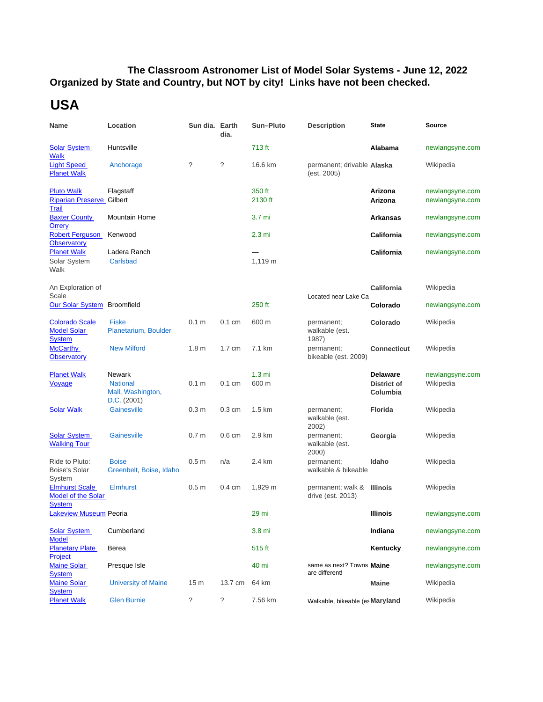## **Organized by State and Country, but NOT by city! Links have not been checked. The Classroom Astronomer List of Model Solar Systems - June 12, 2022**

## **USA**

| Name                                                                  | Location                                                             | Sun dia. Earth   | dia.              | Sun-Pluto                 | <b>Description</b>                              | <b>State</b>                                      | <b>Source</b>                      |
|-----------------------------------------------------------------------|----------------------------------------------------------------------|------------------|-------------------|---------------------------|-------------------------------------------------|---------------------------------------------------|------------------------------------|
| <b>Solar System</b><br><b>Walk</b>                                    | Huntsville                                                           |                  |                   | 713 ft                    |                                                 | Alabama                                           | newlangsyne.com                    |
| <b>Light Speed</b><br><b>Planet Walk</b>                              | Anchorage                                                            | ?                | ?                 | 16.6 km                   | permanent; drivable Alaska<br>(est. 2005)       |                                                   | Wikipedia                          |
| <b>Pluto Walk</b><br><b>Riparian Preserve Gilbert</b><br><b>Trail</b> | Flagstaff                                                            |                  |                   | 350 ft<br>2130 ft         |                                                 | Arizona<br>Arizona                                | newlangsyne.com<br>newlangsyne.com |
| <b>Baxter County</b><br><b>Orrery</b>                                 | <b>Mountain Home</b>                                                 |                  |                   | 3.7 mi                    |                                                 | <b>Arkansas</b>                                   | newlangsyne.com                    |
| <b>Robert Ferguson</b><br><b>Observatory</b>                          | Kenwood                                                              |                  |                   | 2.3 <sub>mi</sub>         |                                                 | California                                        | newlangsyne.com                    |
| <b>Planet Walk</b><br>Solar System<br>Walk                            | Ladera Ranch<br>Carlsbad                                             |                  |                   | 1,119 m                   |                                                 | California                                        | newlangsyne.com                    |
| An Exploration of<br>Scale                                            |                                                                      |                  |                   |                           |                                                 | California                                        | Wikipedia                          |
| Our Solar System Broomfield                                           |                                                                      |                  |                   | 250 ft                    | Located near Lake Ca                            | Colorado                                          | newlangsyne.com                    |
| <b>Colorado Scale</b><br><b>Model Solar</b><br><b>System</b>          | <b>Fiske</b><br>Planetarium, Boulder                                 | 0.1 <sub>m</sub> | $0.1 \text{ cm}$  | 600 m                     | permanent;<br>walkable (est.<br>1987)           | Colorado                                          | Wikipedia                          |
| <b>McCarthy</b><br><b>Observatory</b>                                 | <b>New Milford</b>                                                   | 1.8 <sub>m</sub> | $1.7 \text{ cm}$  | 7.1 km                    | permanent;<br>bikeable (est. 2009)              | <b>Connecticut</b>                                | Wikipedia                          |
| <b>Planet Walk</b><br>Voyage                                          | <b>Newark</b><br><b>National</b><br>Mall, Washington,<br>D.C. (2001) | 0.1 <sub>m</sub> | $0.1 \text{ cm}$  | 1.3 <sub>m</sub><br>600 m |                                                 | <b>Delaware</b><br><b>District of</b><br>Columbia | newlangsyne.com<br>Wikipedia       |
| <b>Solar Walk</b>                                                     | Gainesville                                                          | 0.3 <sub>m</sub> | $0.3 \text{ cm}$  | 1.5 km                    | permanent;<br>walkable (est.<br>2002)           | <b>Florida</b>                                    | Wikipedia                          |
| <b>Solar System</b><br><b>Walking Tour</b>                            | Gainesville                                                          | 0.7 <sub>m</sub> | 0.6 <sub>cm</sub> | 2.9 km                    | permanent;<br>walkable (est.<br>2000)           | Georgia                                           | Wikipedia                          |
| Ride to Pluto:<br><b>Boise's Solar</b><br>System                      | <b>Boise</b><br>Greenbelt, Boise, Idaho                              | 0.5 <sub>m</sub> | n/a               | 2.4 km                    | permanent;<br>walkable & bikeable               | Idaho                                             | Wikipedia                          |
| <b>Elmhurst Scale</b><br><b>Model of the Solar</b><br><b>System</b>   | <b>Elmhurst</b>                                                      | 0.5 <sub>m</sub> | $0.4 \text{ cm}$  | 1,929 m                   | permanent; walk & Illinois<br>drive (est. 2013) |                                                   | Wikipedia                          |
| <b>Lakeview Museum Peoria</b>                                         |                                                                      |                  |                   | 29 mi                     |                                                 | <b>Illinois</b>                                   | newlangsyne.com                    |
| <b>Solar System</b><br><b>Model</b>                                   | Cumberland                                                           |                  |                   | 3.8 mi                    |                                                 | Indiana                                           | newlangsyne.com                    |
| <b>Planetary Plate</b><br>Project                                     | Berea                                                                |                  |                   | $515$ ft                  |                                                 | Kentucky                                          | newlangsyne.com                    |
| <b>Maine Solar</b><br><b>System</b>                                   | Presque Isle                                                         |                  |                   | 40 mi                     | same as next? Towns Maine<br>are different!     |                                                   | newlangsyne.com                    |
| <b>Maine Solar</b><br><b>System</b>                                   | <b>University of Maine</b>                                           | 15 <sub>m</sub>  | 13.7 cm           | 64 km                     |                                                 | <b>Maine</b>                                      | Wikipedia                          |
| <b>Planet Walk</b>                                                    | <b>Glen Burnie</b>                                                   | ?                | $\ddot{?}$        | 7.56 km                   | Walkable, bikeable (es Maryland                 |                                                   | Wikipedia                          |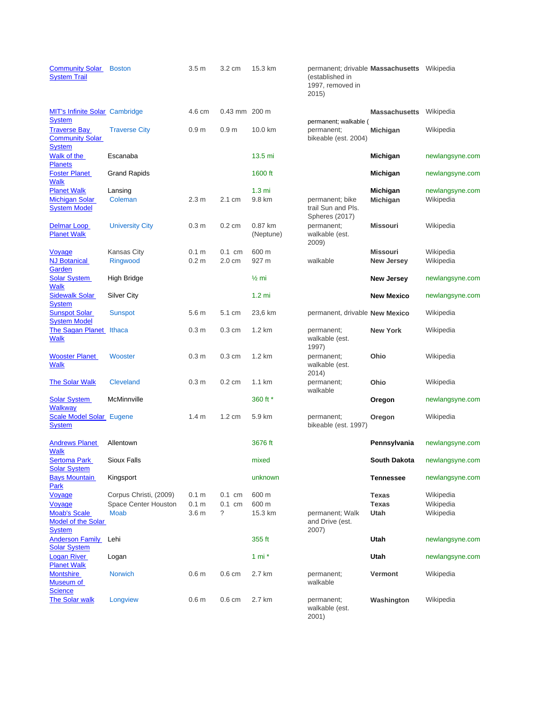| <b>Community Solar</b><br><b>System Trail</b>                                   | <b>Boston</b>           | 3.5 <sub>m</sub>                     | 3.2 cm                       | 15.3 km                    | permanent; drivable <b>Massachusetts</b> Wikipedia<br>(established in<br>1997, removed in<br>2015) |                                |                              |
|---------------------------------------------------------------------------------|-------------------------|--------------------------------------|------------------------------|----------------------------|----------------------------------------------------------------------------------------------------|--------------------------------|------------------------------|
| <b>MIT's Infinite Solar</b> Cambridge                                           |                         | 4.6 cm                               | 0.43 mm 200 m                |                            |                                                                                                    | <b>Massachusetts</b> Wikipedia |                              |
| <b>System</b><br><b>Traverse Bay</b><br><b>Community Solar</b><br><b>System</b> | <b>Traverse City</b>    | 0.9 <sub>m</sub>                     | 0.9 <sub>m</sub>             | 10.0 km                    | permanent; walkable (<br>permanent;<br>bikeable (est. 2004)                                        | Michigan                       | Wikipedia                    |
| Walk of the<br><b>Planets</b>                                                   | Escanaba                |                                      |                              | 13.5 mi                    |                                                                                                    | Michigan                       | newlangsyne.com              |
| <b>Foster Planet</b><br><b>Walk</b>                                             | <b>Grand Rapids</b>     |                                      |                              | 1600 ft                    |                                                                                                    | Michigan                       | newlangsyne.com              |
| <b>Planet Walk</b><br><b>Michigan Solar</b><br><b>System Model</b>              | Lansing<br>Coleman      | 2.3 <sub>m</sub>                     | 2.1 cm                       | 1.3 <sub>m</sub><br>9.8 km | permanent; bike<br>trail Sun and Pls.<br>Spheres (2017)                                            | Michigan<br>Michigan           | newlangsyne.com<br>Wikipedia |
| Delmar Loop<br><b>Planet Walk</b>                                               | <b>University City</b>  | 0.3 <sub>m</sub>                     | $0.2 \text{ cm}$             | 0.87 km<br>(Neptune)       | permanent;<br>walkable (est.<br>2009)                                                              | <b>Missouri</b>                | Wikipedia                    |
| Voyage<br><b>NJ Botanical</b><br>Garden                                         | Kansas City<br>Ringwood | 0.1 <sub>m</sub><br>0.2 <sub>m</sub> | $0.1$ cm<br>$2.0 \text{ cm}$ | 600 m<br>927 m             | walkable                                                                                           | Missouri<br><b>New Jersey</b>  | Wikipedia<br>Wikipedia       |
| <b>Solar System</b><br><b>Walk</b>                                              | High Bridge             |                                      |                              | $\frac{1}{2}$ mi           |                                                                                                    | <b>New Jersey</b>              | newlangsyne.com              |
| <b>Sidewalk Solar</b><br><b>System</b>                                          | Silver City             |                                      |                              | $1.2$ mi                   |                                                                                                    | <b>New Mexico</b>              | newlangsyne.com              |
| <b>Sunspot Solar</b><br><b>System Model</b>                                     | <b>Sunspot</b>          | 5.6 <sub>m</sub>                     | 5.1 cm                       | 23,6 km                    | permanent, drivable New Mexico                                                                     |                                | Wikipedia                    |
| The Sagan Planet<br><b>Walk</b>                                                 | Ithaca                  | 0.3 <sub>m</sub>                     | $0.3 \text{ cm}$             | 1.2 km                     | permanent;<br>walkable (est.<br>1997)                                                              | <b>New York</b>                | Wikipedia                    |
| <b>Wooster Planet</b><br><b>Walk</b>                                            | Wooster                 | 0.3 <sub>m</sub>                     | $0.3 \text{ cm}$             | $1.2 \text{ km}$           | permanent;<br>walkable (est.<br>2014)                                                              | Ohio                           | Wikipedia                    |
| <b>The Solar Walk</b>                                                           | <b>Cleveland</b>        | 0.3 <sub>m</sub>                     | $0.2 \text{ cm}$             | $1.1 \text{ km}$           | permanent;<br>walkable                                                                             | Ohio                           | Wikipedia                    |
| <b>Solar System</b><br>Walkway                                                  | McMinnville             |                                      |                              | 360 ft *                   |                                                                                                    | Oregon                         | newlangsyne.com              |
| Scale Model Solar Eugene<br><b>System</b>                                       |                         | 1.4 <sub>m</sub>                     | $1.2 \text{ cm}$             | 5.9 km                     | permanent;<br>bikeable (est. 1997)                                                                 | Oregon                         | Wikipedia                    |
| <b>Andrews Planet</b><br><b>Walk</b>                                            | Allentown               |                                      |                              | 3676 ft                    |                                                                                                    | Pennsylvania                   | newlangsyne.com              |
| <b>Sertoma Park</b><br><b>Solar System</b>                                      | Sioux Falls             |                                      |                              | mixed                      |                                                                                                    | South Dakota                   | newlangsyne.com              |
| <b>Bays Mountain</b><br>Park                                                    | Kingsport               |                                      |                              | unknown                    |                                                                                                    | <b>Tennessee</b>               | newlangsyne.com              |
| Voyage                                                                          | Corpus Christi, (2009)  | 0.1 <sub>m</sub>                     | $0.1 \text{ cm}$             | 600 m                      |                                                                                                    | <b>Texas</b>                   | Wikipedia                    |
| Voyage                                                                          | Space Center Houston    | 0.1 <sub>m</sub>                     | $0.1$ cm                     | 600 m                      |                                                                                                    | Texas                          | Wikipedia                    |
| <b>Moab's Scale</b><br><b>Model of the Solar</b><br><b>System</b>               | <b>Moab</b>             | 3.6 <sub>m</sub>                     | ?                            | 15.3 km                    | permanent; Walk<br>and Drive (est.<br>2007)                                                        | Utah                           | Wikipedia                    |
| Anderson Family                                                                 | Lehi                    |                                      |                              | 355 ft                     |                                                                                                    | Utah                           | newlangsyne.com              |
| <b>Solar System</b><br><b>Logan River</b>                                       | Logan                   |                                      |                              | 1 mi $*$                   |                                                                                                    | Utah                           | newlangsyne.com              |
| <b>Planet Walk</b><br><b>Montshire</b><br>Museum of<br><b>Science</b>           | <b>Norwich</b>          | 0.6 <sub>m</sub>                     | $0.6 \text{ cm}$             | 2.7 km                     | permanent;<br>walkable                                                                             | Vermont                        | Wikipedia                    |
| The Solar walk                                                                  | Longview                | 0.6 <sub>m</sub>                     | $0.6 \text{ cm}$             | 2.7 km                     | permanent;<br>walkable (est.<br>2001)                                                              | Washington                     | Wikipedia                    |

| 997, removed in<br>2015)                                  |                                      |                                     |
|-----------------------------------------------------------|--------------------------------------|-------------------------------------|
|                                                           | <b>Massachusetts</b> Wikipedia       |                                     |
| ermanent; walkable (<br>ermanent;<br>oikeable (est. 2004) | Michigan                             | Wikipedia                           |
|                                                           | Michigan                             | newlangsyne.com                     |
|                                                           | Michigan                             | newlangsyne.com                     |
| vermanent; bike<br>rail Sun and Pls.                      | Michigan<br>Michigan                 | newlangsyne.com<br>Wikipedia        |
| Spheres (2017)<br>ermanent;<br>valkable (est.<br>2009)    | <b>Missouri</b>                      | Wikipedia                           |
| valkable                                                  | <b>Missouri</b><br><b>New Jersey</b> | Wikipedia<br>Wikipedia              |
|                                                           | New Jersey                           | newlangsyne.com                     |
|                                                           | <b>New Mexico</b>                    | newlangsyne.com                     |
| vermanent, drivable New Mexico                            |                                      | Wikipedia                           |
| ermanent;<br>valkable (est.<br>997)                       | <b>New York</b>                      | Wikipedia                           |
| ermanent;<br>valkable (est.<br>2014)                      | Ohio                                 | Wikipedia                           |
| ermanent;<br>valkable                                     | Ohio                                 | Wikipedia                           |
|                                                           | Oregon                               | newlangsyne.com                     |
| ermanent;<br>vikeable (est. 1997)                         | Oregon                               | Wikipedia                           |
|                                                           | Pennsylvania                         | newlangsyne.com                     |
|                                                           | South Dakota                         | newlangsyne.com                     |
|                                                           | <b>Tennessee</b>                     | newlangsyne.com                     |
| vermanent; Walk<br>and Drive (est.<br>2007)               | Texas<br>Texas<br>Utah               | Wikipedia<br>Wikipedia<br>Wikipedia |
|                                                           | Utah                                 | newlangsyne.com                     |
|                                                           | Utah                                 | newlangsyne.com                     |
| ermanent;<br>valkable                                     | Vermont                              | Wikipedia                           |
| ermanent;                                                 | Washington                           | Wikipedia                           |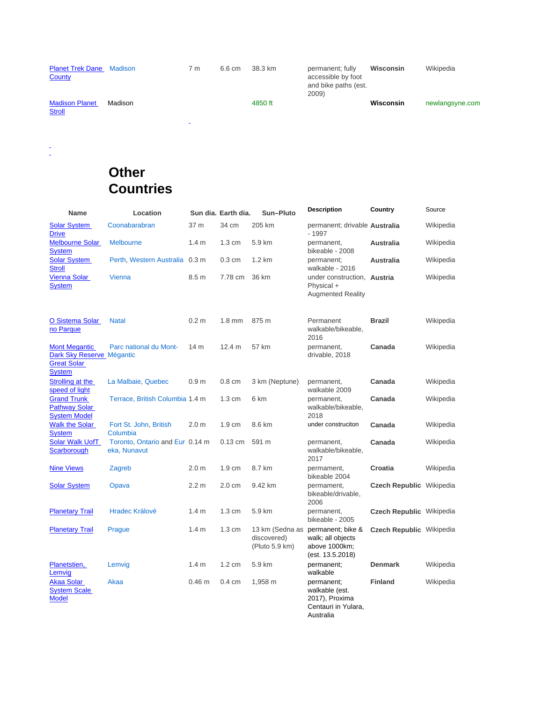| <b>Planet Trek Dane</b><br>County      | Madison | 7 m            | 6.6 cm | 38.3 km | permanent; fully<br>accessible by foot<br>and bike paths (est.<br>2009) | Wisconsin | Wikipedia       |
|----------------------------------------|---------|----------------|--------|---------|-------------------------------------------------------------------------|-----------|-----------------|
| <b>Madison Planet</b><br><b>Stroll</b> | Madison | $\blacksquare$ |        | 4850 ft |                                                                         | Wisconsin | newlangsyne.com |

 $\frac{1}{2}$ 

## **Other Countries**

| <b>Name</b>                                                                              | Location                                        |                   | Sun dia. Earth dia. | Sun-Pluto                     | <b>Description</b>                                                                          | Country                         | Source    |
|------------------------------------------------------------------------------------------|-------------------------------------------------|-------------------|---------------------|-------------------------------|---------------------------------------------------------------------------------------------|---------------------------------|-----------|
| <b>Solar System</b><br><b>Drive</b>                                                      | Coonabarabran                                   | 37 m              | 34 cm               | 205 km                        | permanent; drivable Australia<br>$-1997$                                                    |                                 | Wikipedia |
| <b>Melbourne Solar</b><br><b>System</b>                                                  | <b>Melbourne</b>                                | 1.4 <sub>m</sub>  | 1.3 cm              | 5.9 km                        | permanent,<br>bikeable - 2008                                                               | Australia                       | Wikipedia |
| <b>Solar System</b><br><b>Stroll</b>                                                     | Perth, Western Australia                        | 0.3 <sub>m</sub>  | $0.3 \text{ cm}$    | $1.2 \text{ km}$              | permanent;<br>walkable - 2016                                                               | <b>Australia</b>                | Wikipedia |
| <b>Vienna Solar</b><br><b>System</b>                                                     | <b>Vienna</b>                                   | 8.5 m             | 7.78 cm             | 36 km                         | under construction, Austria<br>Physical +<br><b>Augmented Reality</b>                       |                                 | Wikipedia |
| <b>O Sistema Solar</b><br>no Parque                                                      | <b>Natal</b>                                    | 0.2 <sub>m</sub>  | $1.8 \text{ mm}$    | 875 m                         | Permanent<br>walkable/bikeable,<br>2016                                                     | <b>Brazil</b>                   | Wikipedia |
| <b>Mont Megantic</b><br>Dark Sky Reserve Mégantic<br><b>Great Solar</b><br><b>System</b> | Parc national du Mont-                          | 14 <sub>m</sub>   | 12.4 m              | 57 km                         | permanent,<br>drivable, 2018                                                                | Canada                          | Wikipedia |
| Strolling at the<br>speed of light                                                       | La Malbaie, Quebec                              | 0.9 <sub>m</sub>  | $0.8 \text{ cm}$    | 3 km (Neptune)                | permanent,<br>walkable 2009                                                                 | Canada                          | Wikipedia |
| <b>Grand Trunk</b><br><b>Pathway Solar</b><br><b>System Model</b>                        | Terrace, British Columbia 1.4 m                 |                   | $1.3 \text{ cm}$    | 6 km                          | permanent,<br>walkable/bikeable,<br>2018                                                    | Canada                          | Wikipedia |
| <b>Walk the Solar</b><br><b>System</b>                                                   | Fort St. John, British<br>Columbia              | 2.0 <sub>m</sub>  | $1.9 \text{ cm}$    | 8.6 km                        | under construciton                                                                          | Canada                          | Wikipedia |
| <b>Solar Walk UofT</b><br>Scarborough                                                    | Toronto, Ontario and Eur 0.14 m<br>eka, Nunavut |                   | $0.13$ cm           | 591 m                         | permanent,<br>walkable/bikeable,<br>2017                                                    | Canada                          | Wikipedia |
| <b>Nine Views</b>                                                                        | Zagreb                                          | 2.0 <sub>m</sub>  | $1.9 \text{ cm}$    | 8.7 km                        | permament,<br>bikeable 2004                                                                 | Croatia                         | Wikipedia |
| <b>Solar System</b>                                                                      | Opava                                           | 2.2 <sub>m</sub>  | 2.0 cm              | 9.42 km                       | permament,<br>bikeable/drivable,<br>2006                                                    | <b>Czech Republic Wikipedia</b> |           |
| <b>Planetary Trail</b>                                                                   | <b>Hradec Králové</b>                           | 1.4 <sub>m</sub>  | $1.3 \text{ cm}$    | 5.9 km                        | permanent,<br>bikeable - 2005                                                               | <b>Czech Republic Wikipedia</b> |           |
| <b>Planetary Trail</b>                                                                   | Prague                                          | 1.4 <sub>m</sub>  | $1.3 \text{ cm}$    | discovered)<br>(Pluto 5.9 km) | 13 km (Sedna as permanent; bike &<br>walk; all objects<br>above 1000km;<br>(est. 13.5.2018) | <b>Czech Republic Wikipedia</b> |           |
| Planetstien,<br>Lemvig                                                                   | Lemvig                                          | 1.4 <sub>m</sub>  | $1.2 \text{ cm}$    | 5.9 km                        | permanent;<br>walkable                                                                      | <b>Denmark</b>                  | Wikipedia |
| <b>Akaa Solar</b><br><b>System Scale</b><br><b>Model</b>                                 | Akaa                                            | 0.46 <sub>m</sub> | $0.4 \text{ cm}$    | 1,958 m                       | permanent;<br>walkable (est.<br>2017), Proxima<br>Centauri in Yulara,<br>Australia          | <b>Finland</b>                  | Wikipedia |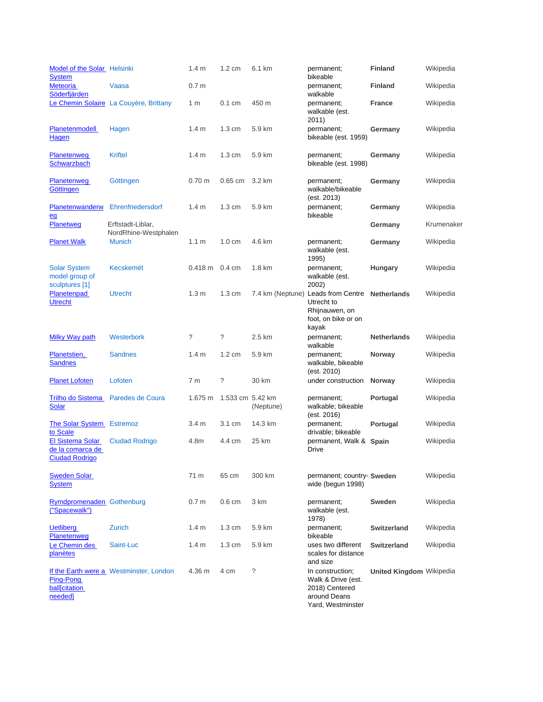| Model of the Solar Helsinki<br><b>System</b>                  |                                           | 1.4 <sub>m</sub> | 1.2 cm           | 6.1 km           | permanent;<br>bikeable                                                                        | <b>Finland</b>                  | Wikipedia  |
|---------------------------------------------------------------|-------------------------------------------|------------------|------------------|------------------|-----------------------------------------------------------------------------------------------|---------------------------------|------------|
| Meteoria<br>Söderfjärden                                      | Vaasa                                     | 0.7 <sub>m</sub> |                  |                  | permanent;<br>walkable                                                                        | <b>Finland</b>                  | Wikipedia  |
|                                                               | Le Chemin Solaire La Couyère, Brittany    | 1 m              | $0.1 \text{ cm}$ | 450 m            | permanent;<br>walkable (est.<br>2011)                                                         | <b>France</b>                   | Wikipedia  |
| <b>Planetenmodell</b><br>Hagen                                | Hagen                                     | 1.4 <sub>m</sub> | $1.3 \text{ cm}$ | 5.9 km           | permanent;<br>bikeable (est. 1959)                                                            | Germany                         | Wikipedia  |
| <b>Planetenweg</b><br>Schwarzbach                             | <b>Kriftel</b>                            | 1.4 <sub>m</sub> | $1.3 \text{ cm}$ | 5.9 km           | permanent;<br>bikeable (est. 1998)                                                            | Germany                         | Wikipedia  |
| Planetenweg<br>Göttingen                                      | Göttingen                                 | $0.70 \text{ m}$ | 0.65 cm          | 3.2 km           | permanent;<br>walkable/bikeable<br>(est. 2013)                                                | Germany                         | Wikipedia  |
| <b>Planetenwanderw</b><br>eg                                  | Ehrenfriedersdorf                         | 1.4 <sub>m</sub> | $1.3 \text{ cm}$ | 5.9 km           | permanent;<br>bikeable                                                                        | Germany                         | Wikipedia  |
| Planetweg                                                     | Erftstadt-Liblar,<br>NordRhine-Westphalen |                  |                  |                  |                                                                                               | Germany                         | Krumenaker |
| <b>Planet Walk</b>                                            | <b>Munich</b>                             | 1.1 <sub>m</sub> | $1.0 \text{ cm}$ | 4.6 km           | permanent;<br>walkable (est.<br>1995)                                                         | Germany                         | Wikipedia  |
| <b>Solar System</b><br>model group of<br>sculptures [1]       | <b>Kecskemét</b>                          | $0.418$ m        | $0.4 \text{ cm}$ | 1.8 km           | permanent;<br>walkable (est.<br>2002)                                                         | <b>Hungary</b>                  | Wikipedia  |
| Planetenpad<br><b>Utrecht</b>                                 | <b>Utrecht</b>                            | 1.3 <sub>m</sub> | $1.3 \text{ cm}$ | 7.4 km (Neptune) | Leads from Centre Netherlands<br>Utrecht to<br>Rhijnauwen, on<br>foot, on bike or on<br>kayak |                                 | Wikipedia  |
| Milky Way path                                                | Westerbork                                | ?                | $\tilde{?}$      | 2.5 km           | permanent;<br>walkable                                                                        | <b>Netherlands</b>              | Wikipedia  |
| Planetstien,<br><b>Sandnes</b>                                | <b>Sandnes</b>                            | 1.4 <sub>m</sub> | $1.2 \text{ cm}$ | 5.9 km           | permanent;<br>walkable, bikeable<br>(est. 2010)                                               | Norway                          | Wikipedia  |
| <b>Planet Lofoten</b>                                         | Lofoten                                   | 7 <sub>m</sub>   | ?                | 30 km            | under construction                                                                            | Norway                          | Wikipedia  |
| Trilho do Sistema<br><b>Solar</b>                             | Paredes de Coura                          | 1.675 m          | 1.533 cm 5.42 km | (Neptune)        | permanent;<br>walkable; bikeable<br>(est. 2016)                                               | Portugal                        | Wikipedia  |
| <b>The Solar System</b><br>to Scale                           | <b>Estremoz</b>                           | 3.4 <sub>m</sub> | 3.1 cm           | 14.3 km          | permanent;<br>drivable; bikeable                                                              | Portugal                        | Wikipedia  |
| El Sistema Solar<br>de la comarca de<br><b>Ciudad Rodrigo</b> | <b>Ciudad Rodrigo</b>                     | 4.8m             | 4.4 cm           | 25 km            | permanent, Walk & Spain<br>Drive                                                              |                                 | Wikipedia  |
| <b>Sweden Solar</b><br><u>System</u>                          |                                           | 71 m             | 65 cm            | 300 km           | permanent; country- Sweden<br>wide (begun 1998)                                               |                                 | Wikipedia  |
| Rymdpromenaden Gothenburg<br>("Spacewalk")                    |                                           | 0.7 <sub>m</sub> | $0.6 \text{ cm}$ | 3 km             | permanent;<br>walkable (est.<br>1978)                                                         | <b>Sweden</b>                   | Wikipedia  |
| <b>Uetliberg</b><br><b>Planetenweg</b>                        | Zurich                                    | 1.4 <sub>m</sub> | $1.3 \text{ cm}$ | 5.9 km           | permanent;<br>bikeable                                                                        | <b>Switzerland</b>              | Wikipedia  |
| Le Chemin des<br>planètes                                     | Saint-Luc                                 | 1.4 <sub>m</sub> | $1.3 \text{ cm}$ | 5.9 km           | uses two different<br>scales for distance<br>and size                                         | <b>Switzerland</b>              | Wikipedia  |
| Ping-Pong<br>ball[citation<br>needed]                         | If the Earth were a Westminster, London   | 4.36 m           | 4 cm             | ?                | In construction;<br>Walk & Drive (est.<br>2018) Centered<br>around Deans<br>Yard, Westminster | <b>United Kingdom Wikipedia</b> |            |